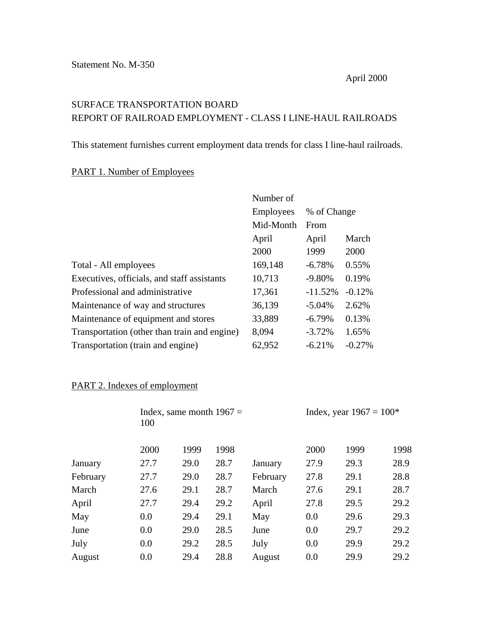## SURFACE TRANSPORTATION BOARD REPORT OF RAILROAD EMPLOYMENT - CLASS I LINE-HAUL RAILROADS

This statement furnishes current employment data trends for class I line-haul railroads.

## PART 1. Number of Employees

|                                              | Number of        |             |          |
|----------------------------------------------|------------------|-------------|----------|
|                                              | <b>Employees</b> | % of Change |          |
|                                              | Mid-Month        | From        |          |
|                                              | April            | April       | March    |
|                                              | 2000             | 1999        | 2000     |
| Total - All employees                        | 169,148          | $-6.78%$    | 0.55%    |
| Executives, officials, and staff assistants  | 10,713           | $-9.80%$    | 0.19%    |
| Professional and administrative              | 17,361           | $-11.52%$   | $-0.12%$ |
| Maintenance of way and structures            | 36,139           | $-5.04%$    | 2.62%    |
| Maintenance of equipment and stores          | 33,889           | $-6.79%$    | 0.13%    |
| Transportation (other than train and engine) | 8,094            | $-3.72%$    | 1.65%    |
| Transportation (train and engine)            | 62,952           | $-6.21%$    | $-0.27%$ |

## PART 2. Indexes of employment

|          | 100  | Index, same month $1967 =$ |      |          |      | Index, year $1967 = 100*$ |      |  |
|----------|------|----------------------------|------|----------|------|---------------------------|------|--|
|          | 2000 | 1999                       | 1998 |          | 2000 | 1999                      | 1998 |  |
| January  | 27.7 | 29.0                       | 28.7 | January  | 27.9 | 29.3                      | 28.9 |  |
| February | 27.7 | 29.0                       | 28.7 | February | 27.8 | 29.1                      | 28.8 |  |
| March    | 27.6 | 29.1                       | 28.7 | March    | 27.6 | 29.1                      | 28.7 |  |
| April    | 27.7 | 29.4                       | 29.2 | April    | 27.8 | 29.5                      | 29.2 |  |
| May      | 0.0  | 29.4                       | 29.1 | May      | 0.0  | 29.6                      | 29.3 |  |
| June     | 0.0  | 29.0                       | 28.5 | June     | 0.0  | 29.7                      | 29.2 |  |
| July     | 0.0  | 29.2                       | 28.5 | July     | 0.0  | 29.9                      | 29.2 |  |
| August   | 0.0  | 29.4                       | 28.8 | August   | 0.0  | 29.9                      | 29.2 |  |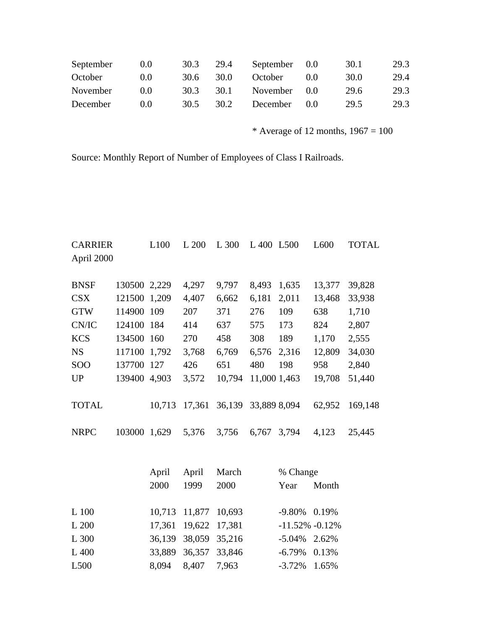| September | (0.0) | 30.3 | 29.4 | September 0.0 |       | 30.1 | 29.3 |
|-----------|-------|------|------|---------------|-------|------|------|
| October   | (0.0) | 30.6 | 30.0 | October       | (0.0) | 30.0 | 29.4 |
| November  | (0.0) | 30.3 | 30.1 | November 0.0  |       | 29.6 | 29.3 |
| December  | (0.0) | 30.5 | 30.2 | December      | (0.0) | 29.5 | 29.3 |

\* Average of 12 months,  $1967 = 100$ 

Source: Monthly Report of Number of Employees of Class I Railroads.

| <b>CARRIER</b> |              | L100   | L 200  | L 300  | L 400 L 500  |                    | L600   | TOTAL   |
|----------------|--------------|--------|--------|--------|--------------|--------------------|--------|---------|
| April 2000     |              |        |        |        |              |                    |        |         |
|                |              |        |        |        |              |                    |        |         |
| <b>BNSF</b>    | 130500 2,229 |        | 4,297  | 9,797  | 8,493        | 1,635              | 13,377 | 39,828  |
| <b>CSX</b>     | 121500       | 1,209  | 4,407  | 6,662  | 6,181        | 2,011              | 13,468 | 33,938  |
| <b>GTW</b>     | 114900       | 109    | 207    | 371    | 276          | 109                | 638    | 1,710   |
| CN/IC          | 124100 184   |        | 414    | 637    | 575          | 173                | 824    | 2,807   |
| <b>KCS</b>     | 134500 160   |        | 270    | 458    | 308          | 189                | 1,170  | 2,555   |
| <b>NS</b>      | 117100       | 1,792  | 3,768  | 6,769  | 6,576        | 2,316              | 12,809 | 34,030  |
| <b>SOO</b>     | 137700       | 127    | 426    | 651    | 480          | 198                | 958    | 2,840   |
| <b>UP</b>      | 139400       | 4,903  | 3,572  | 10,794 | 11,000 1,463 |                    | 19,708 | 51,440  |
|                |              |        |        |        |              |                    |        |         |
| <b>TOTAL</b>   |              | 10,713 | 17,361 | 36,139 | 33,889 8,094 |                    | 62,952 | 169,148 |
|                |              |        |        |        |              |                    |        |         |
| <b>NRPC</b>    | 103000       | 1,629  | 5,376  | 3,756  | 6,767        | 3,794              | 4,123  | 25,445  |
|                |              |        |        |        |              |                    |        |         |
|                |              |        |        |        |              |                    |        |         |
|                |              | April  | April  | March  |              | % Change           |        |         |
|                |              | 2000   | 1999   | 2000   |              | Year               | Month  |         |
|                |              |        |        |        |              |                    |        |         |
| L 100          |              | 10,713 | 11,877 | 10,693 |              | $-9.80%$           | 0.19%  |         |
| L 200          |              | 17,361 | 19,622 | 17,381 |              | $-11.52\% -0.12\%$ |        |         |
| L 300          |              | 36,139 | 38,059 | 35,216 |              | $-5.04%$           | 2.62%  |         |
| L 400          |              | 33,889 | 36,357 | 33,846 |              | $-6.79%$           | 0.13%  |         |

L500 8,094 8,407 7,963 -3.72% 1.65%